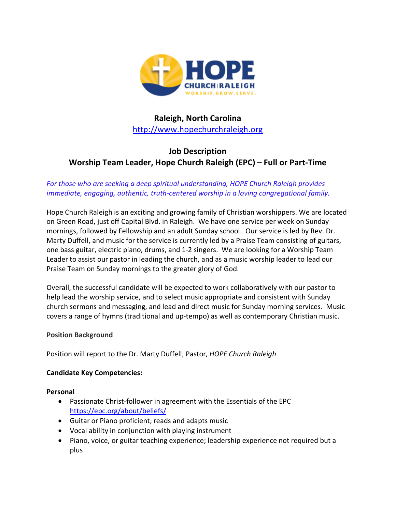

# **Raleigh, North Carolina** http://www.hopechurchraleigh.org

# **Job Description Worship Team Leader, Hope Church Raleigh (EPC) – Full or Part-Time**

## *For those who are seeking a deep spiritual understanding, HOPE Church Raleigh provides immediate, engaging, authentic, truth-centered worship in a loving congregational family.*

Hope Church Raleigh is an exciting and growing family of Christian worshippers. We are located on Green Road, just off Capital Blvd. in Raleigh. We have one service per week on Sunday mornings, followed by Fellowship and an adult Sunday school. Our service is led by Rev. Dr. Marty Duffell, and music for the service is currently led by a Praise Team consisting of guitars, one bass guitar, electric piano, drums, and 1-2 singers. We are looking for a Worship Team Leader to assist our pastor in leading the church, and as a music worship leader to lead our Praise Team on Sunday mornings to the greater glory of God.

Overall, the successful candidate will be expected to work collaboratively with our pastor to help lead the worship service, and to select music appropriate and consistent with Sunday church sermons and messaging, and lead and direct music for Sunday morning services. Music covers a range of hymns (traditional and up-tempo) as well as contemporary Christian music.

#### **Position Background**

Position will report to the Dr. Marty Duffell, Pastor, *HOPE Church Raleigh*

### **Candidate Key Competencies:**

#### **Personal**

- Passionate Christ-follower in agreement with the Essentials of the EPC https://epc.org/about/beliefs/
- Guitar or Piano proficient; reads and adapts music
- Vocal ability in conjunction with playing instrument
- Piano, voice, or guitar teaching experience; leadership experience not required but a plus